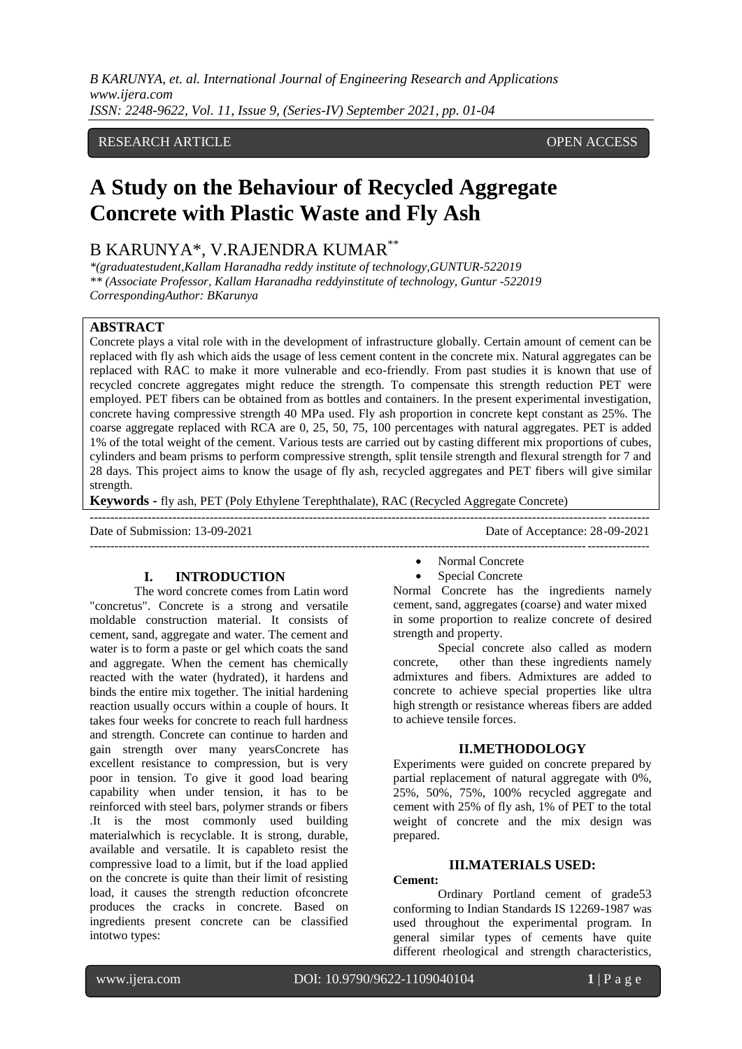*B KARUNYA, et. al. International Journal of Engineering Research and Applications www.ijera.com ISSN: 2248-9622, Vol. 11, Issue 9, (Series-IV) September 2021, pp. 01-04*

#### RESEARCH ARTICLE **CONSERVERS** OPEN ACCESS

# **A Study on the Behaviour of Recycled Aggregate Concrete with Plastic Waste and Fly Ash**

## B KARUNYA\*, V.RAJENDRA KUMAR\*\*

*\*(graduatestudent,Kallam Haranadha reddy institute of technology,GUNTUR-522019 \*\* (Associate Professor, Kallam Haranadha reddyinstitute of technology, Guntur -522019 CorrespondingAuthor: BKarunya*

#### **ABSTRACT**

Concrete plays a vital role with in the development of infrastructure globally. Certain amount of cement can be replaced with fly ash which aids the usage of less cement content in the concrete mix. Natural aggregates can be replaced with RAC to make it more vulnerable and eco-friendly. From past studies it is known that use of recycled concrete aggregates might reduce the strength. To compensate this strength reduction PET were employed. PET fibers can be obtained from as bottles and containers. In the present experimental investigation, concrete having compressive strength 40 MPa used. Fly ash proportion in concrete kept constant as 25%. The coarse aggregate replaced with RCA are 0, 25, 50, 75, 100 percentages with natural aggregates. PET is added 1% of the total weight of the cement. Various tests are carried out by casting different mix proportions of cubes, cylinders and beam prisms to perform compressive strength, split tensile strength and flexural strength for 7 and 28 days. This project aims to know the usage of fly ash, recycled aggregates and PET fibers will give similar strength.

**Keywords -** fly ash, PET (Poly Ethylene Terephthalate), RAC (Recycled Aggregate Concrete)

Date of Submission: 13-09-2021 Date of Acceptance: 28-09-2021

---------------------------------------------------------------------------------------------------------------------------------------

#### **I. INTRODUCTION**

The word concrete comes from Latin word "concretus". Concrete is a strong and versatile moldable construction material. It consists of cement, sand, aggregate and water. The cement and water is to form a paste or gel which coats the sand and aggregate. When the cement has chemically reacted with the water (hydrated), it hardens and binds the entire mix together. The initial hardening reaction usually occurs within a couple of hours. It takes four weeks for concrete to reach full hardness and strength. Concrete can continue to harden and gain strength over many yearsConcrete has excellent resistance to compression, but is very poor in tension. To give it good load bearing capability when under tension, it has to be reinforced with steel bars, polymer strands or fibers .It is the most commonly used building materialwhich is recyclable. It is strong, durable, available and versatile. It is capableto resist the compressive load to a limit, but if the load applied on the concrete is quite than their limit of resisting load, it causes the strength reduction ofconcrete produces the cracks in concrete. Based on ingredients present concrete can be classified intotwo types:

- --------------------------------------------------------------------------------------------------------------------------------------- • Normal Concrete
	- Special Concrete

Normal Concrete has the ingredients namely cement, sand, aggregates (coarse) and water mixed in some proportion to realize concrete of desired strength and property.

Special concrete also called as modern concrete, other than these ingredients namely admixtures and fibers. Admixtures are added to concrete to achieve special properties like ultra high strength or resistance whereas fibers are added to achieve tensile forces.

#### **II.METHODOLOGY**

Experiments were guided on concrete prepared by partial replacement of natural aggregate with 0%, 25%, 50%, 75%, 100% recycled aggregate and cement with 25% of fly ash, 1% of PET to the total weight of concrete and the mix design was prepared.

#### **III.MATERIALS USED:**

#### **Cement:**

Ordinary Portland cement of grade53 conforming to Indian Standards IS 12269-1987 was used throughout the experimental program. In general similar types of cements have quite different rheological and strength characteristics,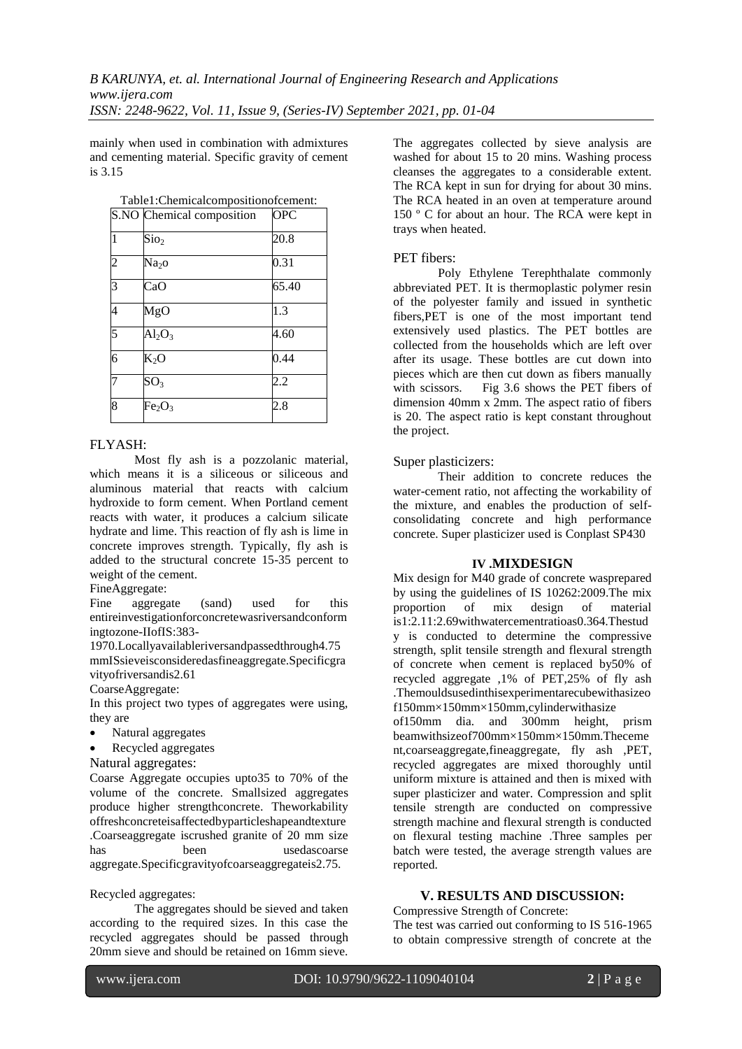mainly when used in combination with admixtures and cementing material. Specific gravity of cement is 3.15

Table1:Chemicalcompositionofcement:

|   | S.NO Chemical composition      | <b>OPC</b> |
|---|--------------------------------|------------|
|   | Sio <sub>2</sub>               | 20.8       |
| 2 | Na <sub>2</sub> O              | 0.31       |
| R | CaO                            | 65.40      |
| 4 | MgO                            | 1.3        |
| 5 | $Al_2O_3$                      | 4.60       |
| 6 | $K_2O$                         | 0.44       |
|   | $SO_3$                         | 2.2        |
| 8 | Fe <sub>2</sub> O <sub>3</sub> | 2.8        |

#### FLYASH:

Most fly ash is a pozzolanic material, which means it is a siliceous or siliceous and aluminous material that reacts with calcium hydroxide to form cement. When Portland cement reacts with water, it produces a calcium silicate hydrate and lime. This reaction of fly ash is lime in concrete improves strength. Typically, fly ash is added to the structural concrete 15-35 percent to weight of the cement.

#### FineAggregate:

Fine aggregate (sand) used for this entireinvestigationforconcretewasriversandconform ingtozone-IIofIS:383-

1970.Locallyavailableriversandpassedthrough4.75 mmISsieveisconsideredasfineaggregate.Specificgra vityofriversandis2.61

#### CoarseAggregate:

In this project two types of aggregates were using, they are

- Natural aggregates
- Recycled aggregates

#### Natural aggregates:

Coarse Aggregate occupies upto35 to 70% of the volume of the concrete. Smallsized aggregates produce higher strengthconcrete. Theworkability offreshconcreteisaffectedbyparticleshapeandtexture .Coarseaggregate iscrushed granite of 20 mm size has been usedascoarse aggregate.Specificgravityofcoarseaggregateis2.75.

#### Recycled aggregates:

The aggregates should be sieved and taken according to the required sizes. In this case the recycled aggregates should be passed through 20mm sieve and should be retained on 16mm sieve.

The aggregates collected by sieve analysis are washed for about 15 to 20 mins. Washing process cleanses the aggregates to a considerable extent. The RCA kept in sun for drying for about 30 mins. The RCA heated in an oven at temperature around 150 º C for about an hour. The RCA were kept in trays when heated.

#### PET fibers:

Poly Ethylene Terephthalate commonly abbreviated PET. It is thermoplastic polymer resin of the polyester family and issued in synthetic fibers,PET is one of the most important tend extensively used plastics. The PET bottles are collected from the households which are left over after its usage. These bottles are cut down into pieces which are then cut down as fibers manually with scissors. Fig 3.6 shows the PET fibers of dimension 40mm x 2mm. The aspect ratio of fibers is 20. The aspect ratio is kept constant throughout the project.

#### Super plasticizers:

Their addition to concrete reduces the water-cement ratio, not affecting the workability of the mixture, and enables the production of selfconsolidating concrete and high performance concrete. Super plasticizer used is Conplast SP430

#### **IV .MIXDESIGN**

Mix design for M40 grade of concrete wasprepared by using the guidelines of IS 10262:2009.The mix proportion of mix design of material is1:2.11:2.69withwatercementratioas0.364.Thestud y is conducted to determine the compressive strength, split tensile strength and flexural strength of concrete when cement is replaced by50% of recycled aggregate ,1% of PET,25% of fly ash .Themouldsusedinthisexperimentarecubewithasizeo f150mm×150mm×150mm,cylinderwithasize

of150mm dia. and 300mm height, prism beamwithsizeof700mm×150mm×150mm.Theceme nt,coarseaggregate,fineaggregate, fly ash ,PET, recycled aggregates are mixed thoroughly until uniform mixture is attained and then is mixed with super plasticizer and water. Compression and split tensile strength are conducted on compressive strength machine and flexural strength is conducted on flexural testing machine .Three samples per batch were tested, the average strength values are reported.

#### **V. RESULTS AND DISCUSSION:**

### Compressive Strength of Concrete:

The test was carried out conforming to IS 516-1965 to obtain compressive strength of concrete at the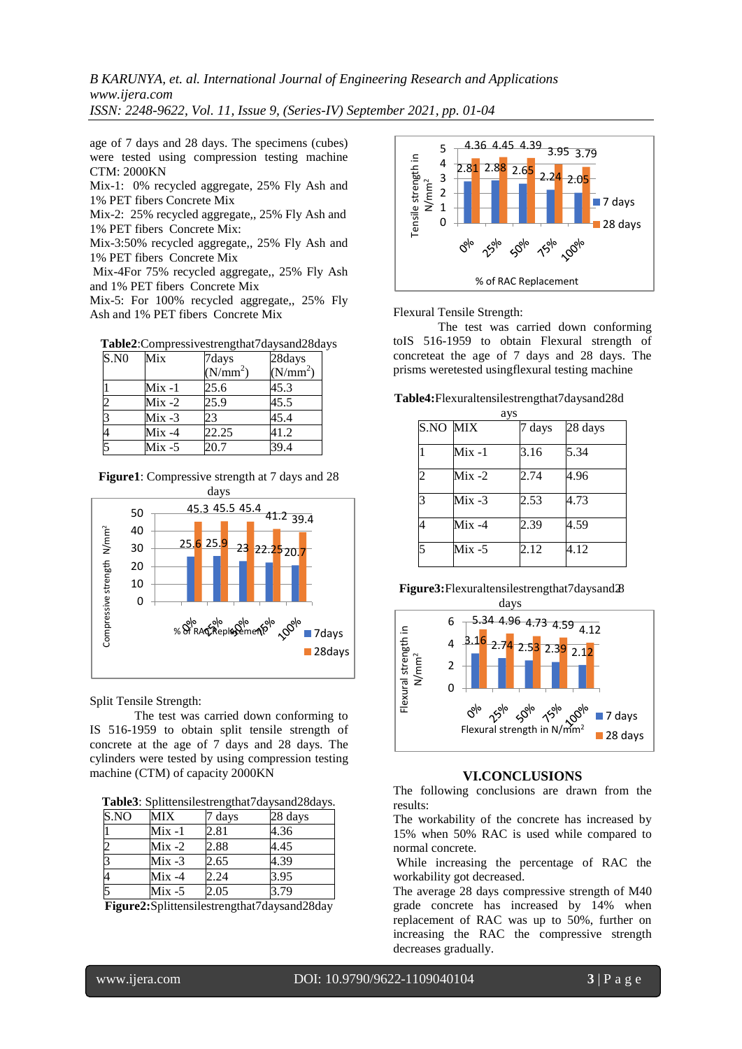*B KARUNYA, et. al. International Journal of Engineering Research and Applications www.ijera.com*

*ISSN: 2248-9622, Vol. 11, Issue 9, (Series-IV) September 2021, pp. 01-04*

age of 7 days and 28 days. The specimens (cubes) were tested using compression testing machine CTM: 2000KN

Mix-1: 0% recycled aggregate, 25% Fly Ash and 1% PET fibers Concrete Mix

Mix-2: 25% recycled aggregate,, 25% Fly Ash and 1% PET fibers Concrete Mix:

Mix-3:50% recycled aggregate,, 25% Fly Ash and 1% PET fibers Concrete Mix

Mix-4For 75% recycled aggregate,, 25% Fly Ash and 1% PET fibers Concrete Mix

Mix-5: For 100% recycled aggregate,, 25% Fly Ash and 1% PET fibers Concrete Mix

| Table2:Compressivestrengthat7daysand28days |  |  |  |
|--------------------------------------------|--|--|--|
|--------------------------------------------|--|--|--|

| S.N0 | Mix       | 7days                | 28days               |
|------|-----------|----------------------|----------------------|
|      |           | (N/mm <sup>2</sup> ) | (N/mm <sup>2</sup> ) |
|      | Mix -1    | 25.6                 | 45.3                 |
|      | $Mix -2$  | 25.9                 | 45.5                 |
|      | $Mix -3$  | 23                   | 45.4                 |
|      | $Mix -4$  | 22.25                | 41.2                 |
|      | $Mix - 5$ | 20.7                 | 39.4                 |

| <b>Figure1</b> : Compressive strength at 7 days and 28 |  |
|--------------------------------------------------------|--|
| days                                                   |  |



Split Tensile Strength:

The test was carried down conforming to IS 516-1959 to obtain split tensile strength of concrete at the age of 7 days and 28 days. The cylinders were tested by using compression testing machine (CTM) of capacity 2000KN

**Table3**: Splittensilestrengthat7daysand28days.

| S.NO           | <b>MIX</b> | ' days | 28 days |
|----------------|------------|--------|---------|
|                | Mix -1     | 2.81   | 4.36    |
| $\overline{c}$ | $Mix -2$   | 2.88   | 4.45    |
| 3              | $Mix -3$   | 2.65   | 4.39    |
| $\overline{4}$ | $Mix -4$   | 2.24   | 3.95    |
| 5              | $Mix -5$   | 2.05   | 3.79    |

**Figure2:**Splittensilestrengthat7daysand28day



Flexural Tensile Strength:

The test was carried down conforming toIS 516-1959 to obtain Flexural strength of concreteat the age of 7 days and 28 days. The prisms weretested usingflexural testing machine

**Table4:**Flexuraltensilestrengthat7daysand28d

|                 | ays       |        |         |
|-----------------|-----------|--------|---------|
| <b>S.NO MIX</b> |           | 7 days | 28 days |
|                 | Mix -1    | 3.16   | 5.34    |
| $\overline{c}$  | $Mix -2$  | 2.74   | 4.96    |
| 3               | Mix -3    | 2.53   | 4.73    |
|                 | $Mix -4$  | 2.39   | 4.59    |
|                 | $Mix - 5$ | 2.12   | 4.12    |

**Figure3:**Flexuraltensilestrengthat7daysand28



#### **VI.CONCLUSIONS**

The following conclusions are drawn from the results:

The workability of the concrete has increased by 15% when 50% RAC is used while compared to normal concrete.

While increasing the percentage of RAC the workability got decreased.

The average 28 days compressive strength of M40 grade concrete has increased by 14% when replacement of RAC was up to 50%, further on increasing the RAC the compressive strength decreases gradually.